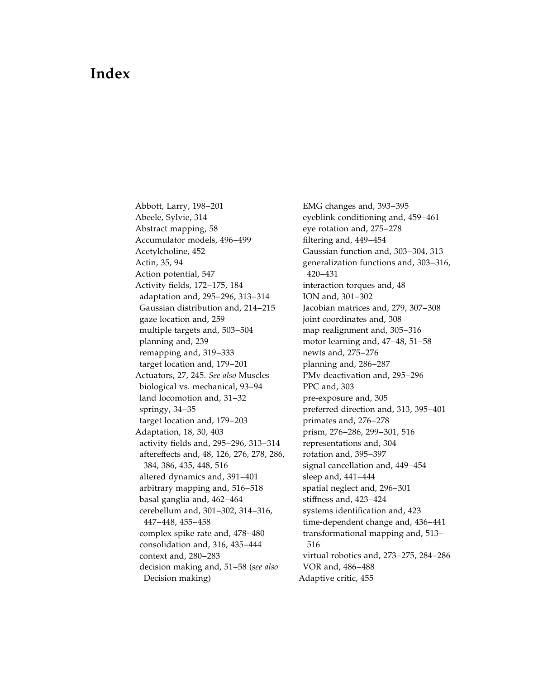## Index

Abbott, Larry, 198–201 Abeele, Sylvie, 314 Abstract mapping, 58 Accumulator models, 496–499 Acetylcholine, 452 Actin, 35, 94 Action potential, 547 Activity fields, 172–175, 184 adaptation and, 295–296, 313–314 Gaussian distribution and, 214–215 gaze location and, 259 multiple targets and, 503–504 planning and, 239 remapping and, 319–333 target location and, 179–201 Actuators, 27, 245. See also Muscles biological vs. mechanical, 93–94 land locomotion and, 31–32 springy, 34–35 target location and, 179–203 Adaptation, 18, 30, 403 activity fields and, 295–296, 313–314 aftereffects and, 48, 126, 276, 278, 286, 384, 386, 435, 448, 516 altered dynamics and, 391–401 arbitrary mapping and, 516–518 basal ganglia and, 462–464 cerebellum and, 301–302, 314–316, 447–448, 455–458 complex spike rate and, 478–480 consolidation and, 316, 435–444 context and, 280–283 decision making and, 51–58 (see also Decision making)

EMG changes and, 393–395 eyeblink conditioning and, 459–461 eye rotation and, 275–278 filtering and, 449–454 Gaussian function and, 303–304, 313 [generalization functions and, 303–316,](#page--1-0) 420–431 interaction torques and, 48 ION and, 301–302 Jacobian matrices and, 279, 307–308 joint coordinates and, 308 map realignment and, 305–316 motor learning and, 47–48, 51–58 newts and, 275–276 planning and, 286–287 PMv deactivation and, 295–296 PPC and, 303 pre-exposure and, 305 preferred direction and, 313, 395–401 primates and, 276–278 prism, 276–286, 299–301, 516 representations and, 304 rotation and, 395–397 signal cancellation and, 449–454 sleep and, 441–444 spatial neglect and, 296–301 stiffness and, 423–424 systems identification and, 423 time-dependent change and, 436–441 transformational mapping and, 513– 516 virtual robotics and, 273–275, 284–286 VOR and, 486–488 Adaptive critic, 455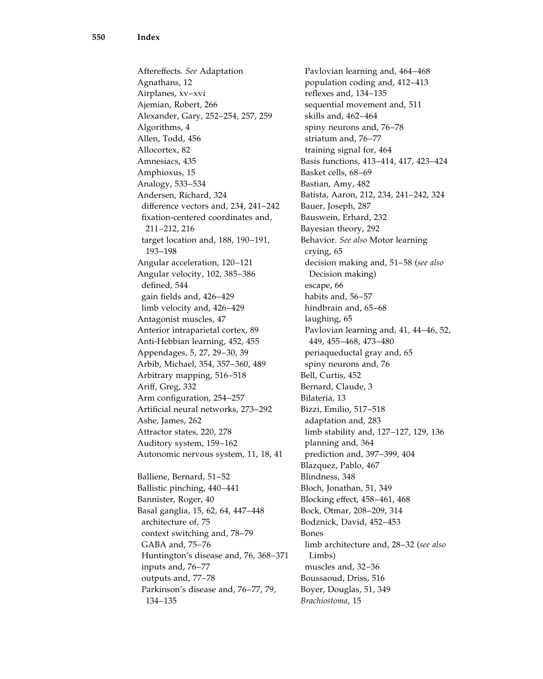Aftereffects. See Adaptation Agnathans, 12 Airplanes, xv–xvi Ajemian, Robert, 266 Alexander, Gary, 252–254, 257, 259 Algorithms, 4 Allen, Todd, 456 Allocortex, 82 Amnesiacs, 435 Amphioxus, 15 Analogy, 533–534 Andersen, Richard, 324 difference vectors and, 234, 241–242 fixation-centered coordinates and, 211–212, 216 target location and, 188, 190–191, 193–198 Angular acceleration, 120–121 Angular velocity, 102, 385–386 defined, 544 gain fields and, 426–429 limb velocity and, 426–429 Antagonist muscles, 47 Anterior intraparietal cortex, 89 Anti-Hebbian learning, 452, 455 Appendages, 5, 27, 29–30, 39 Arbib, Michael, 354, 357–360, 489 Arbitrary mapping, 516–518 Ariff, Greg, 332 Arm configuration, 254–257 Artificial neural networks, 273–292 Ashe, James, 262 Attractor states, 220, 278 Auditory system, 159–162 Autonomic nervous system, 11, 18, 41 Balliene, Bernard, 51–52 Ballistic pinching, 440–441 Bannister, Roger, 40 Basal ganglia, 15, 62, 64, 447–448 architecture of, 75 context switching and, 78–79 GABA and, 75–76 Huntington's disease and, 76, 368–371 inputs and, 76–77 outputs and, 77–78

Parkinson's disease and, 76–77, 79,

134–135

Pavlovian learning and, 464–468 population coding and, 412–413 reflexes and, 134–135 sequential movement and, 511 skills and, 462–464 spiny neurons and, 76–78 striatum and, 76–77 training signal for, 464 Basis functions, 413–414, 417, 423–424 Basket cells, 68–69 Bastian, Amy, 482 Batista, Aaron, 212, 234, 241–242, 324 Bauer, Joseph, 287 Bauswein, Erhard, 232 Bayesian theory, 292 Behavior. See also Motor learning crying, 65 decision making and, 51–58 (see also Decision making) escape, 66 habits and, 56–57 hindbrain and, 65–68 laughing, 65 Pavlovian learning and, 41, 44–46, 52, 449, 455–468, 473–480 periaqueductal gray and, 65 spiny neurons and, 76 Bell, Curtis, 452 Bernard, Claude, 3 Bilateria, 13 Bizzi, Emilio, 517–518 adaptation and, 283 limb stability and, 127–127, 129, 136 planning and, 364 prediction and, 397–399, 404 Blazquez, Pablo, 467 Blindness, 348 Bloch, Jonathan, 51, 349 Blocking effect, 458–461, 468 Bock, Otmar, 208–209, 314 Bodznick, David, 452–453 Bones limb architecture and, 28–32 (see also Limbs) muscles and, 32–36 Boussaoud, Driss, 516 Boyer, Douglas, 51, 349 Brachiostoma, 15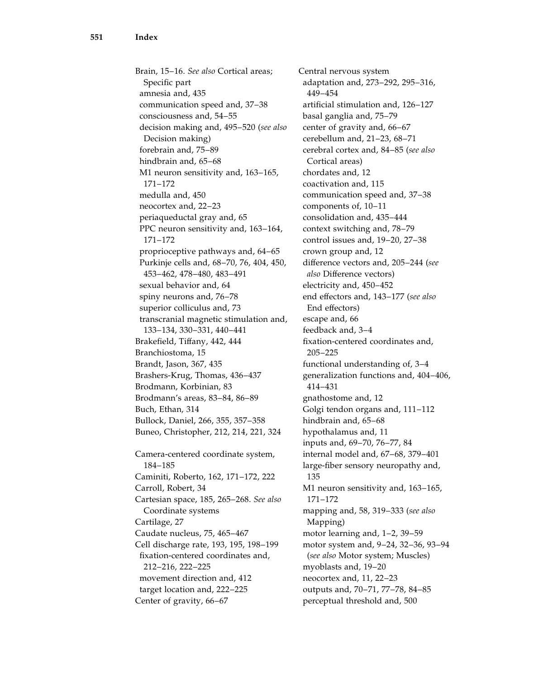Brain, 15–16. See also Cortical areas; Specific part amnesia and, 435 communication speed and, 37–38 consciousness and, 54–55 decision making and, 495–520 (see also Decision making) forebrain and, 75–89 hindbrain and, 65–68 M1 neuron sensitivity and, 163–165, 171–172 medulla and, 450 neocortex and, 22–23 periaqueductal gray and, 65 PPC neuron sensitivity and, 163–164, 171–172 proprioceptive pathways and, 64–65 Purkinje cells and, 68–70, 76, 404, 450, 453–462, 478–480, 483–491 sexual behavior and, 64 spiny neurons and, 76–78 superior colliculus and, 73 transcranial magnetic stimulation and, 133–134, 330–331, 440–441 Brakefield, Tiffany, 442, 444 Branchiostoma, 15 Brandt, Jason, 367, 435 Brashers-Krug, Thomas, 436–437 Brodmann, Korbinian, 83 Brodmann's areas, 83–84, 86–89 Buch, Ethan, 314 Bullock, Daniel, 266, 355, 357–358 Buneo, Christopher, 212, 214, 221, 324 Camera-centered coordinate system, 184–185 Caminiti, Roberto, 162, 171–172, 222 Carroll, Robert, 34 Cartesian space, 185, 265–268. See also Coordinate systems Cartilage, 27 Caudate nucleus, 75, 465–467 Cell discharge rate, 193, 195, 198–199 fixation-centered coordinates and, 212–216, 222–225 movement direction and, 412 target location and, 222–225 Center of gravity, 66–67

Central nervous system adaptation and, 273–292, 295–316, 449–454 artificial stimulation and, 126–127 basal ganglia and, 75–79 center of gravity and, 66–67 cerebellum and, 21–23, 68–71 cerebral cortex and, 84–85 (see also Cortical areas) chordates and, 12 coactivation and, 115 communication speed and, 37–38 components of, 10–11 consolidation and, 435–444 context switching and, 78–79 control issues and, 19–20, 27–38 crown group and, 12 difference vectors and, 205–244 (see also Difference vectors) electricity and, 450–452 end effectors and, 143–177 (see also End effectors) escape and, 66 feedback and, 3–4 fixation-centered coordinates and, 205–225 functional understanding of, 3–4 generalization functions and, 404–406, 414–431 gnathostome and, 12 Golgi tendon organs and, 111–112 hindbrain and, 65–68 hypothalamus and, 11 inputs and, 69–70, 76–77, 84 internal model and, 67–68, 379–401 large-fiber sensory neuropathy and, 135 M1 neuron sensitivity and, 163–165, 171–172 mapping and, 58, 319–333 (see also Mapping) motor learning and, 1–2, 39–59 motor system and, 9–24, 32–36, 93–94 (see also Motor system; Muscles) myoblasts and, 19–20 neocortex and, 11, 22–23 outputs and, 70–71, 77–78, 84–85 perceptual threshold and, 500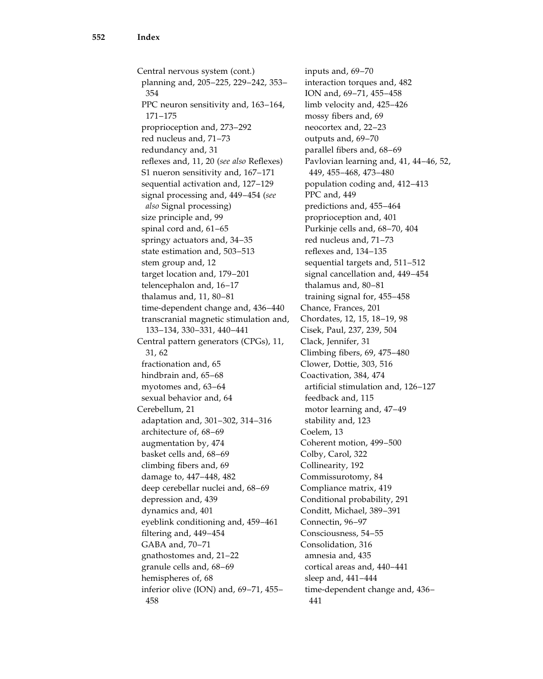Central nervous system (cont.) planning and, 205–225, 229–242, 353– 354 PPC neuron sensitivity and, 163–164, 171–175 proprioception and, 273–292 red nucleus and, 71–73 redundancy and, 31 reflexes and, 11, 20 (see also Reflexes) S1 nueron sensitivity and, 167–171 sequential activation and, 127–129 signal processing and, 449–454 (see also Signal processing) size principle and, 99 spinal cord and, 61–65 springy actuators and, 34–35 state estimation and, 503–513 stem group and, 12 target location and, 179–201 telencephalon and, 16–17 thalamus and, 11, 80–81 time-dependent change and, 436–440 transcranial magnetic stimulation and, 133–134, 330–331, 440–441 Central pattern generators (CPGs), 11, 31, 62 fractionation and, 65 hindbrain and, 65–68 myotomes and, 63–64 sexual behavior and, 64 Cerebellum, 21 adaptation and, 301–302, 314–316 architecture of, 68–69 augmentation by, 474 basket cells and, 68–69 climbing fibers and, 69 damage to, 447–448, 482 deep cerebellar nuclei and, 68–69 depression and, 439 dynamics and, 401 eyeblink conditioning and, 459–461 filtering and, 449–454 GABA and, 70–71 gnathostomes and, 21–22 granule cells and, 68–69 hemispheres of, 68 inferior olive (ION) and, 69–71, 455– 458

inputs and, 69–70 interaction torques and, 482 ION and, 69–71, 455–458 limb velocity and, 425–426 mossy fibers and, 69 neocortex and, 22–23 outputs and, 69–70 parallel fibers and, 68–69 Pavlovian learning and, 41, 44–46, 52, 449, 455–468, 473–480 population coding and, 412–413 PPC and, 449 predictions and, 455–464 proprioception and, 401 Purkinje cells and, 68–70, 404 red nucleus and, 71–73 reflexes and, 134–135 sequential targets and, 511–512 signal cancellation and, 449–454 thalamus and, 80–81 training signal for, 455–458 Chance, Frances, 201 Chordates, 12, 15, 18–19, 98 Cisek, Paul, 237, 239, 504 Clack, Jennifer, 31 Climbing fibers, 69, 475–480 Clower, Dottie, 303, 516 Coactivation, 384, 474 artificial stimulation and, 126–127 feedback and, 115 motor learning and, 47–49 stability and, 123 Coelem, 13 Coherent motion, 499–500 Colby, Carol, 322 Collinearity, 192 Commissurotomy, 84 Compliance matrix, 419 Conditional probability, 291 Conditt, Michael, 389–391 Connectin, 96–97 Consciousness, 54–55 Consolidation, 316 amnesia and, 435 cortical areas and, 440–441 sleep and, 441–444 time-dependent change and, 436– 441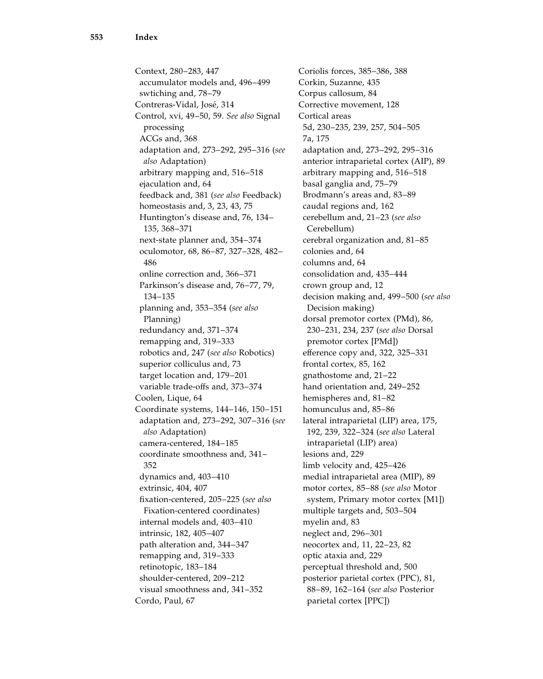Context, 280–283, 447 accumulator models and, 496–499 swtiching and, 78–79 Contreras-Vidal, José, 314 Control, xvi, 49–50, 59. See also Signal processing ACGs and, 368 adaptation and, 273–292, 295–316 (see also Adaptation) arbitrary mapping and, 516–518 ejaculation and, 64 feedback and, 381 (see also Feedback) homeostasis and, 3, 23, 43, 75 Huntington's disease and, 76, 134– 135, 368–371 next-state planner and, 354–374 oculomotor, 68, 86–87, 327–328, 482– 486 online correction and, 366–371 Parkinson's disease and, 76–77, 79, 134–135 planning and, 353–354 (see also Planning) redundancy and, 371–374 remapping and, 319–333 robotics and, 247 (see also Robotics) superior colliculus and, 73 target location and, 179–201 variable trade-offs and, 373–374 Coolen, Lique, 64 Coordinate systems, 144–146, 150–151 adaptation and, 273–292, 307–316 (see also Adaptation) camera-centered, 184–185 coordinate smoothness and, 341– 352 dynamics and, 403–410 extrinsic, 404, 407 fixation-centered, 205–225 (see also Fixation-centered coordinates) internal models and, 403–410 intrinsic, 182, 405–407 path alteration and, 344–347 remapping and, 319–333 retinotopic, 183–184 shoulder-centered, 209–212 visual smoothness and, 341–352 Cordo, Paul, 67

Coriolis forces, 385–386, 388 Corkin, Suzanne, 435 Corpus callosum, 84 Corrective movement, 128 Cortical areas 5d, 230–235, 239, 257, 504–505 7a, 175 adaptation and, 273–292, 295–316 anterior intraparietal cortex (AIP), 89 arbitrary mapping and, 516–518 basal ganglia and, 75–79 Brodmann's areas and, 83–89 caudal regions and, 162 cerebellum and, 21–23 (see also Cerebellum) cerebral organization and, 81–85 colonies and, 64 columns and, 64 consolidation and, 435–444 crown group and, 12 decision making and, 499–500 (see also Decision making) dorsal premotor cortex (PMd), 86, 230–231, 234, 237 (see also Dorsal premotor cortex [PMd]) efference copy and, 322, 325–331 frontal cortex, 85, 162 gnathostome and, 21–22 hand orientation and, 249–252 hemispheres and, 81–82 homunculus and, 85–86 lateral intraparietal (LIP) area, 175, 192, 239, 322–324 (see also Lateral intraparietal (LIP) area) lesions and, 229 limb velocity and, 425–426 medial intraparietal area (MIP), 89 motor cortex, 85–88 (see also Motor system, Primary motor cortex [M1]) multiple targets and, 503–504 myelin and, 83 neglect and, 296–301 neocortex and, 11, 22–23, 82 optic ataxia and, 229 perceptual threshold and, 500 posterior parietal cortex (PPC), 81, 88–89, 162–164 (see also Posterior parietal cortex [PPC])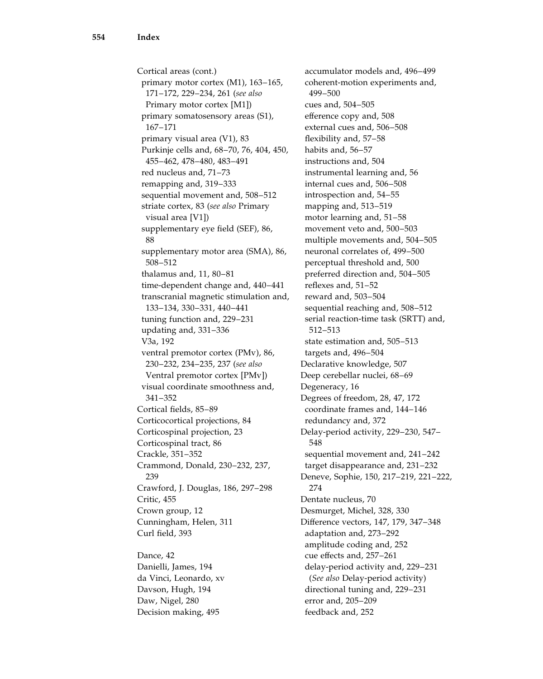Cortical areas (cont.) primary motor cortex (M1), 163–165, 171–172, 229–234, 261 (see also Primary motor cortex [M1]) primary somatosensory areas (S1), 167–171 primary visual area (V1), 83 Purkinje cells and, 68–70, 76, 404, 450, 455–462, 478–480, 483–491 red nucleus and, 71–73 remapping and, 319–333 sequential movement and, 508–512 striate cortex, 83 (see also Primary visual area [V1]) supplementary eye field (SEF), 86, 88 supplementary motor area (SMA), 86, 508–512 thalamus and, 11, 80–81 time-dependent change and, 440–441 transcranial magnetic stimulation and, 133–134, 330–331, 440–441 tuning function and, 229–231 updating and, 331–336 V3a, 192 ventral premotor cortex (PMv), 86, 230–232, 234–235, 237 (see also Ventral premotor cortex [PMv]) visual coordinate smoothness and, 341–352 Cortical fields, 85–89 Corticocortical projections, 84 Corticospinal projection, 23 Corticospinal tract, 86 Crackle, 351–352 Crammond, Donald, 230–232, 237, 239 Crawford, J. Douglas, 186, 297–298 Critic, 455 Crown group, 12 Cunningham, Helen, 311 Curl field, 393

Dance, 42 Danielli, James, 194 da Vinci, Leonardo, xv Davson, Hugh, 194 Daw, Nigel, 280 Decision making, 495

accumulator models and, 496–499 coherent-motion experiments and, 499–500 cues and, 504–505 efference copy and, 508 external cues and, 506–508 flexibility and, 57–58 habits and, 56–57 instructions and, 504 instrumental learning and, 56 internal cues and, 506–508 introspection and, 54–55 mapping and, 513–519 motor learning and, 51–58 movement veto and, 500–503 multiple movements and, 504–505 neuronal correlates of, 499–500 perceptual threshold and, 500 preferred direction and, 504–505 reflexes and, 51–52 reward and, 503–504 sequential reaching and, 508–512 serial reaction-time task (SRTT) and, 512–513 state estimation and, 505–513 targets and, 496–504 Declarative knowledge, 507 Deep cerebellar nuclei, 68–69 Degeneracy, 16 Degrees of freedom, 28, 47, 172 coordinate frames and, 144–146 redundancy and, 372 Delay-period activity, 229–230, 547– 548 sequential movement and, 241–242 target disappearance and, 231–232 Deneve, Sophie, 150, 217–219, 221–222, 274 Dentate nucleus, 70 Desmurget, Michel, 328, 330 Difference vectors, 147, 179, 347–348 adaptation and, 273–292 amplitude coding and, 252 cue effects and, 257–261 delay-period activity and, 229–231 (See also Delay-period activity) directional tuning and, 229–231 error and, 205–209 feedback and, 252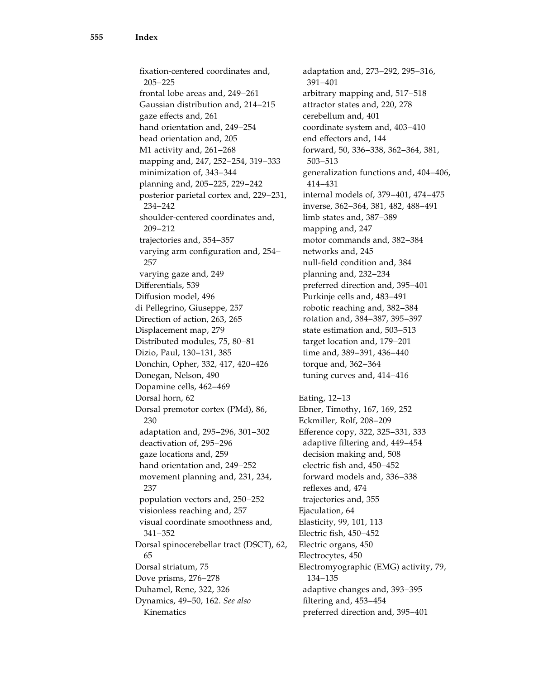fixation-centered coordinates and, 205–225 frontal lobe areas and, 249–261 Gaussian distribution and, 214–215 gaze effects and, 261 hand orientation and, 249–254 head orientation and, 205 M1 activity and, 261–268 mapping and, 247, 252–254, 319–333 minimization of, 343–344 planning and, 205–225, 229–242 posterior parietal cortex and, 229–231, 234–242 shoulder-centered coordinates and, 209–212 trajectories and, 354–357 varying arm configuration and, 254– 257 varying gaze and, 249 Differentials, 539 Diffusion model, 496 di Pellegrino, Giuseppe, 257 Direction of action, 263, 265 Displacement map, 279 Distributed modules, 75, 80–81 Dizio, Paul, 130–131, 385 Donchin, Opher, 332, 417, 420–426 Donegan, Nelson, 490 Dopamine cells, 462–469 Dorsal horn, 62 Dorsal premotor cortex (PMd), 86, 230 adaptation and, 295–296, 301–302 deactivation of, 295–296 gaze locations and, 259 hand orientation and, 249–252 movement planning and, 231, 234, 237 population vectors and, 250–252 visionless reaching and, 257 visual coordinate smoothness and, 341–352 Dorsal spinocerebellar tract (DSCT), 62, 65 Dorsal striatum, 75 Dove prisms, 276–278 Duhamel, Rene, 322, 326 Dynamics, 49–50, 162. See also Kinematics

adaptation and, 273–292, 295–316, 391–401 arbitrary mapping and, 517–518 attractor states and, 220, 278 cerebellum and, 401 coordinate system and, 403–410 end effectors and, 144 forward, 50, 336–338, 362–364, 381, 503–513 generalization functions and, 404–406, 414–431 internal models of, 379–401, 474–475 inverse, 362–364, 381, 482, 488–491 limb states and, 387–389 mapping and, 247 motor commands and, 382–384 networks and, 245 null-field condition and, 384 planning and, 232–234 preferred direction and, 395–401 Purkinje cells and, 483–491 robotic reaching and, 382–384 rotation and, 384–387, 395–397 state estimation and, 503–513 target location and, 179–201 time and, 389–391, 436–440 torque and, 362–364 tuning curves and, 414–416 Eating, 12–13 Ebner, Timothy, 167, 169, 252 Eckmiller, Rolf, 208–209 Efference copy, 322, 325–331, 333 adaptive filtering and, 449–454 decision making and, 508 electric fish and, 450–452 forward models and, 336–338 reflexes and, 474 trajectories and, 355 Ejaculation, 64 Elasticity, 99, 101, 113 Electric fish, 450–452 Electric organs, 450 Electrocytes, 450 Electromyographic (EMG) activity, 79, 134–135 adaptive changes and, 393–395 filtering and, 453–454 preferred direction and, 395–401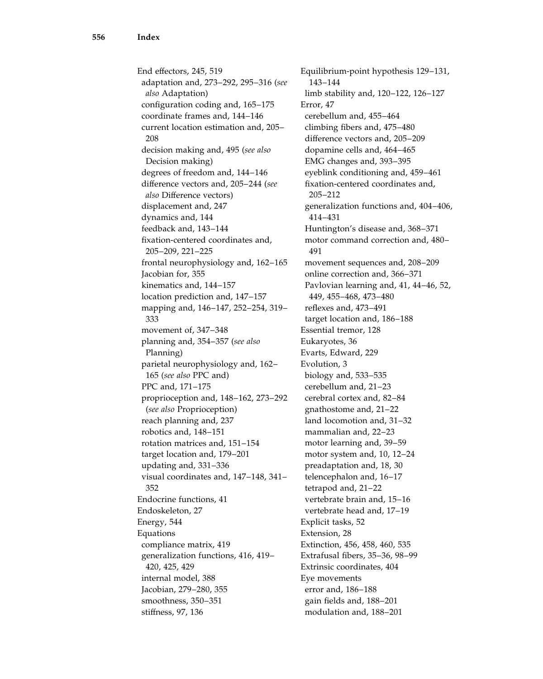End effectors, 245, 519 adaptation and, 273–292, 295–316 (see also Adaptation) configuration coding and, 165–175 coordinate frames and, 144–146 current location estimation and, 205– 208 decision making and, 495 (see also Decision making) degrees of freedom and, 144–146 difference vectors and, 205–244 (see also Difference vectors) displacement and, 247 dynamics and, 144 feedback and, 143–144 fixation-centered coordinates and, 205–209, 221–225 frontal neurophysiology and, 162–165 Jacobian for, 355 kinematics and, 144–157 location prediction and, 147–157 mapping and, 146–147, 252–254, 319– 333 movement of, 347–348 planning and, 354–357 (see also Planning) parietal neurophysiology and, 162– 165 (see also PPC and) PPC and, 171–175 proprioception and, 148–162, 273–292 (see also Proprioception) reach planning and, 237 robotics and, 148–151 rotation matrices and, 151–154 target location and, 179–201 updating and, 331–336 visual coordinates and, 147–148, 341– 352 Endocrine functions, 41 Endoskeleton, 27 Energy, 544 Equations compliance matrix, 419 generalization functions, 416, 419– 420, 425, 429 internal model, 388 Jacobian, 279–280, 355 smoothness, 350–351 stiffness, 97, 136

Equilibrium-point hypothesis 129–131, 143–144 limb stability and, 120–122, 126–127 Error, 47 cerebellum and, 455–464 climbing fibers and, 475–480 difference vectors and, 205–209 dopamine cells and, 464–465 EMG changes and, 393–395 eyeblink conditioning and, 459–461 fixation-centered coordinates and, 205–212 generalization functions and, 404–406, 414–431 Huntington's disease and, 368–371 motor command correction and, 480– 491 movement sequences and, 208–209 online correction and, 366–371 Pavlovian learning and, 41, 44–46, 52, 449, 455–468, 473–480 reflexes and, 473–491 target location and, 186–188 Essential tremor, 128 Eukaryotes, 36 Evarts, Edward, 229 Evolution, 3 biology and, 533–535 cerebellum and, 21–23 cerebral cortex and, 82–84 gnathostome and, 21–22 land locomotion and, 31–32 mammalian and, 22–23 motor learning and, 39–59 motor system and, 10, 12–24 preadaptation and, 18, 30 telencephalon and, 16–17 tetrapod and, 21–22 vertebrate brain and, 15–16 vertebrate head and, 17–19 Explicit tasks, 52 Extension, 28 Extinction, 456, 458, 460, 535 Extrafusal fibers, 35–36, 98–99 Extrinsic coordinates, 404 Eye movements error and, 186–188 gain fields and, 188–201 modulation and, 188–201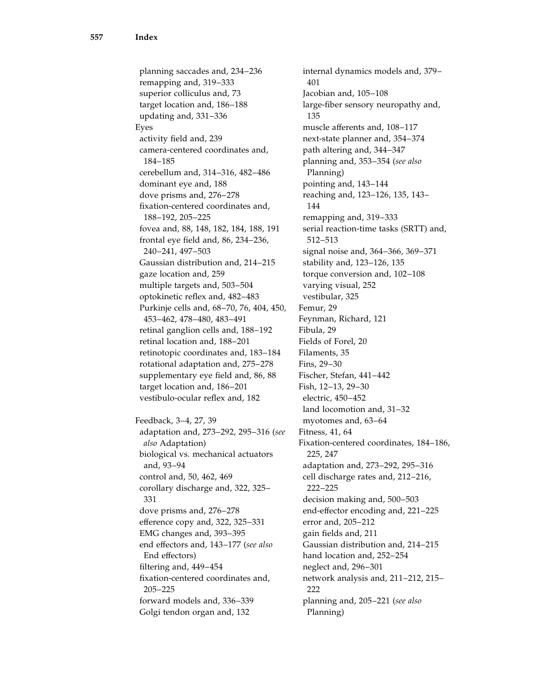planning saccades and, 234–236 remapping and, 319–333 superior colliculus and, 73 target location and, 186–188 updating and, 331–336 Eyes activity field and, 239 camera-centered coordinates and, 184–185 cerebellum and, 314–316, 482–486 dominant eye and, 188 dove prisms and, 276–278 fixation-centered coordinates and, 188–192, 205–225 fovea and, 88, 148, 182, 184, 188, 191 frontal eye field and, 86, 234–236, 240–241, 497–503 Gaussian distribution and, 214–215 gaze location and, 259 multiple targets and, 503–504 optokinetic reflex and, 482–483 Purkinje cells and, 68–70, 76, 404, 450, 453–462, 478–480, 483–491 retinal ganglion cells and, 188–192 retinal location and, 188–201 retinotopic coordinates and, 183–184 rotational adaptation and, 275–278 supplementary eye field and, 86, 88 target location and, 186–201 vestibulo-ocular reflex and, 182 Feedback, 3–4, 27, 39 adaptation and, 273–292, 295–316 (see also Adaptation) biological vs. mechanical actuators and, 93–94 control and, 50, 462, 469 corollary discharge and, 322, 325– 331 dove prisms and, 276–278 efference copy and, 322, 325–331 EMG changes and, 393–395 end effectors and, 143–177 (see also End effectors) filtering and, 449–454 fixation-centered coordinates and, 205–225 forward models and, 336–339 Golgi tendon organ and, 132

internal dynamics models and, 379– 401 Jacobian and, 105–108 large-fiber sensory neuropathy and, 135 muscle afferents and, 108–117 next-state planner and, 354–374 path altering and, 344–347 planning and, 353–354 (see also Planning) pointing and, 143–144 reaching and, 123–126, 135, 143– 144 remapping and, 319–333 serial reaction-time tasks (SRTT) and, 512–513 signal noise and, 364–366, 369–371 stability and, 123–126, 135 torque conversion and, 102–108 varying visual, 252 vestibular, 325 Femur, 29 Feynman, Richard, 121 Fibula, 29 Fields of Forel, 20 Filaments, 35 Fins, 29–30 Fischer, Stefan, 441–442 Fish, 12–13, 29–30 electric, 450–452 land locomotion and, 31–32 myotomes and, 63–64 Fitness, 41, 64 Fixation-centered coordinates, 184–186, 225, 247 adaptation and, 273–292, 295–316 cell discharge rates and, 212–216, 222–225 decision making and, 500–503 end-effector encoding and, 221–225 error and, 205–212 gain fields and, 211 Gaussian distribution and, 214–215 hand location and, 252–254 neglect and, 296–301 network analysis and, 211–212, 215– 222 planning and, 205–221 (see also Planning)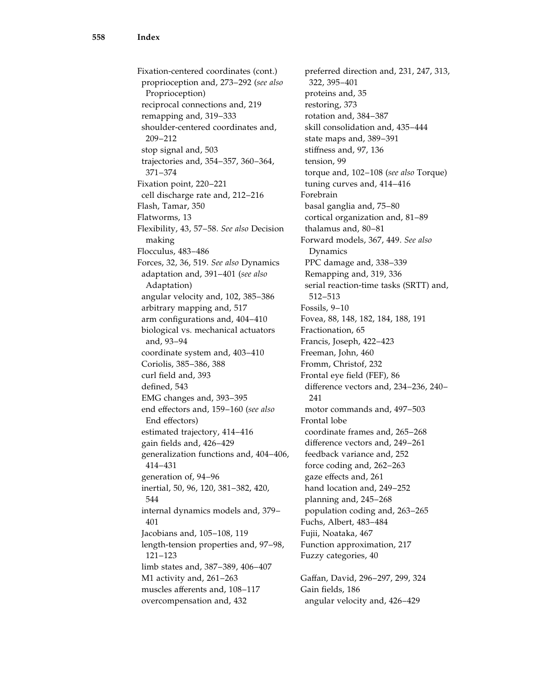Fixation-centered coordinates (cont.) proprioception and, 273–292 (see also Proprioception) reciprocal connections and, 219 remapping and, 319–333 shoulder-centered coordinates and, 209–212 stop signal and, 503 trajectories and, 354–357, 360–364, 371–374 Fixation point, 220–221 cell discharge rate and, 212–216 Flash, Tamar, 350 Flatworms, 13 Flexibility, 43, 57–58. See also Decision making Flocculus, 483–486 Forces, 32, 36, 519. See also Dynamics adaptation and, 391–401 (see also Adaptation) angular velocity and, 102, 385–386 arbitrary mapping and, 517 arm configurations and, 404–410 biological vs. mechanical actuators and, 93–94 coordinate system and, 403–410 Coriolis, 385–386, 388 curl field and, 393 defined, 543 EMG changes and, 393–395 end effectors and, 159–160 (see also End effectors) estimated trajectory, 414–416 gain fields and, 426–429 generalization functions and, 404–406, 414–431 generation of, 94–96 inertial, 50, 96, 120, 381–382, 420, 544 internal dynamics models and, 379– 401 Jacobians and, 105–108, 119 length-tension properties and, 97–98, 121–123 limb states and, 387–389, 406–407 M1 activity and, 261–263 muscles afferents and, 108–117 overcompensation and, 432

preferred direction and, 231, 247, 313, 322, 395–401 proteins and, 35 restoring, 373 rotation and, 384–387 skill consolidation and, 435–444 state maps and, 389–391 stiffness and, 97, 136 tension, 99 torque and, 102–108 (see also Torque) tuning curves and, 414–416 Forebrain basal ganglia and, 75–80 cortical organization and, 81–89 thalamus and, 80–81 Forward models, 367, 449. See also Dynamics PPC damage and, 338–339 Remapping and, 319, 336 serial reaction-time tasks (SRTT) and, 512–513 Fossils, 9–10 Fovea, 88, 148, 182, 184, 188, 191 Fractionation, 65 Francis, Joseph, 422–423 Freeman, John, 460 Fromm, Christof, 232 Frontal eye field (FEF), 86 difference vectors and, 234–236, 240– 241 motor commands and, 497–503 Frontal lobe coordinate frames and, 265–268 difference vectors and, 249–261 feedback variance and, 252 force coding and, 262–263 gaze effects and, 261 hand location and, 249–252 planning and, 245–268 population coding and, 263–265 Fuchs, Albert, 483–484 Fujii, Noataka, 467 Function approximation, 217 Fuzzy categories, 40 Gaffan, David, 296–297, 299, 324 Gain fields, 186

angular velocity and, 426–429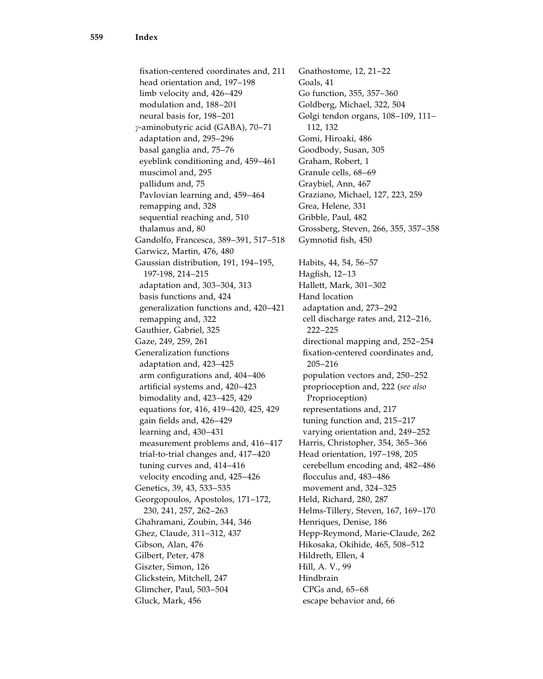fixation-centered coordinates and, 211 head orientation and, 197–198 limb velocity and, 426–429 modulation and, 188–201 neural basis for, 198–201 g-aminobutyric acid (GABA), 70–71 adaptation and, 295–296 basal ganglia and, 75–76 eyeblink conditioning and, 459–461 muscimol and, 295 pallidum and, 75 Pavlovian learning and, 459–464 remapping and, 328 sequential reaching and, 510 thalamus and, 80 Gandolfo, Francesca, 389–391, 517–518 Garwicz, Martin, 476, 480 Gaussian distribution, 191, 194–195, 197-198, 214–215 adaptation and, 303–304, 313 basis functions and, 424 generalization functions and, 420–421 remapping and, 322 Gauthier, Gabriel, 325 Gaze, 249, 259, 261 Generalization functions adaptation and, 423–425 arm configurations and, 404–406 artificial systems and, 420–423 bimodality and, 423–425, 429 equations for, 416, 419–420, 425, 429 gain fields and, 426–429 learning and, 430–431 measurement problems and, 416–417 trial-to-trial changes and, 417–420 tuning curves and, 414–416 velocity encoding and, 425–426 Genetics, 39, 43, 533–535 Georgopoulos, Apostolos, 171–172, 230, 241, 257, 262–263 Ghahramani, Zoubin, 344, 346 Ghez, Claude, 311–312, 437 Gibson, Alan, 476 Gilbert, Peter, 478 Giszter, Simon, 126 Glickstein, Mitchell, 247 Glimcher, Paul, 503–504 Gluck, Mark, 456

Gnathostome, 12, 21–22 Goals, 41 Go function, 355, 357–360 Goldberg, Michael, 322, 504 Golgi tendon organs, 108–109, 111– 112, 132 Gomi, Hiroaki, 486 Goodbody, Susan, 305 Graham, Robert, 1 Granule cells, 68–69 Graybiel, Ann, 467 Graziano, Michael, 127, 223, 259 Grea, Helene, 331 Gribble, Paul, 482 Grossberg, Steven, 266, 355, 357–358 Gymnotid fish, 450 Habits, 44, 54, 56–57 Hagfish, 12–13 Hallett, Mark, 301–302 Hand location adaptation and, 273–292 cell discharge rates and, 212–216, 222–225 directional mapping and, 252–254 fixation-centered coordinates and, 205–216 population vectors and, 250–252 proprioception and, 222 (see also Proprioception) representations and, 217 tuning function and, 215–217 varying orientation and, 249–252 Harris, Christopher, 354, 365–366 Head orientation, 197–198, 205 cerebellum encoding and, 482–486 flocculus and, 483–486 movement and, 324–325 Held, Richard, 280, 287 Helms-Tillery, Steven, 167, 169–170 Henriques, Denise, 186 Hepp-Reymond, Marie-Claude, 262 Hikosaka, Okihide, 465, 508–512 Hildreth, Ellen, 4 Hill, A. V., 99 Hindbrain CPGs and, 65–68 escape behavior and, 66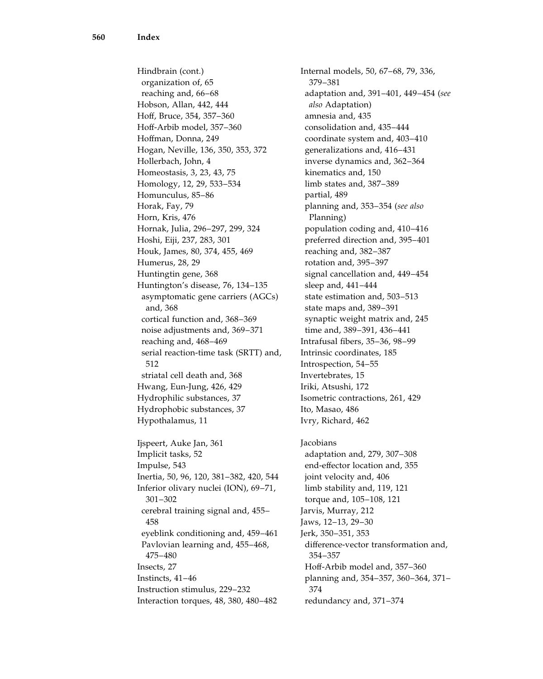Hindbrain (cont.) organization of, 65 reaching and, 66–68 Hobson, Allan, 442, 444 Hoff, Bruce, 354, 357–360 Hoff-Arbib model, 357–360 Hoffman, Donna, 249 Hogan, Neville, 136, 350, 353, 372 Hollerbach, John, 4 Homeostasis, 3, 23, 43, 75 Homology, 12, 29, 533–534 Homunculus, 85–86 Horak, Fay, 79 Horn, Kris, 476 Hornak, Julia, 296–297, 299, 324 Hoshi, Eiji, 237, 283, 301 Houk, James, 80, 374, 455, 469 Humerus, 28, 29 Huntingtin gene, 368 Huntington's disease, 76, 134–135 asymptomatic gene carriers (AGCs) and, 368 cortical function and, 368–369 noise adjustments and, 369–371 reaching and, 468–469 serial reaction-time task (SRTT) and, 512 striatal cell death and, 368 Hwang, Eun-Jung, 426, 429 Hydrophilic substances, 37 Hydrophobic substances, 37 Hypothalamus, 11 Ijspeert, Auke Jan, 361 Implicit tasks, 52 Impulse, 543 Inertia, 50, 96, 120, 381–382, 420, 544 Inferior olivary nuclei (ION), 69–71, 301–302 cerebral training signal and, 455– 458 eyeblink conditioning and, 459–461 Pavlovian learning and, 455–468, 475–480 Insects, 27 Instincts, 41–46 Instruction stimulus, 229–232 Interaction torques, 48, 380, 480–482

Internal models, 50, 67–68, 79, 336, 379–381 adaptation and, 391–401, 449–454 (see also Adaptation) amnesia and, 435 consolidation and, 435–444 coordinate system and, 403–410 generalizations and, 416–431 inverse dynamics and, 362–364 kinematics and, 150 limb states and, 387–389 partial, 489 planning and, 353–354 (see also Planning) population coding and, 410–416 preferred direction and, 395–401 reaching and, 382–387 rotation and, 395–397 signal cancellation and, 449–454 sleep and, 441–444 state estimation and, 503–513 state maps and, 389–391 synaptic weight matrix and, 245 time and, 389–391, 436–441 Intrafusal fibers, 35–36, 98–99 Intrinsic coordinates, 185 Introspection, 54–55 Invertebrates, 15 Iriki, Atsushi, 172 Isometric contractions, 261, 429 Ito, Masao, 486 Ivry, Richard, 462

**Jacobians** adaptation and, 279, 307–308 end-effector location and, 355 joint velocity and, 406 limb stability and, 119, 121 torque and, 105–108, 121 Jarvis, Murray, 212 Jaws, 12–13, 29–30 Jerk, 350–351, 353 difference-vector transformation and, 354–357 Hoff-Arbib model and, 357–360 planning and, 354–357, 360–364, 371– 374 redundancy and, 371–374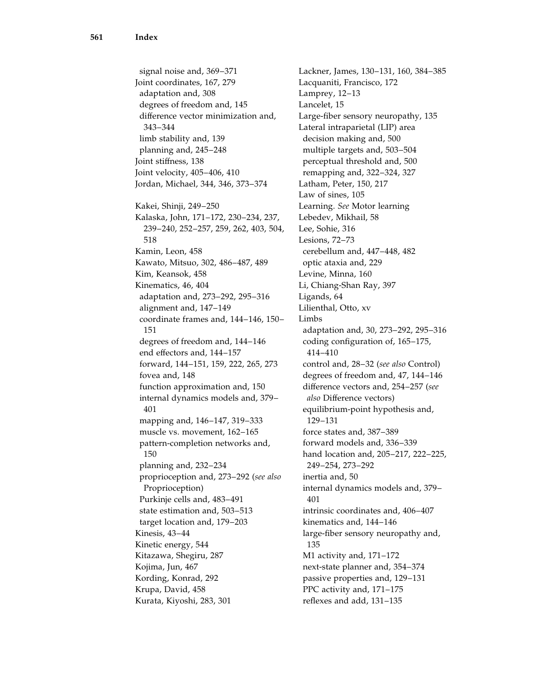signal noise and, 369–371 Joint coordinates, 167, 279 adaptation and, 308 degrees of freedom and, 145 difference vector minimization and, 343–344 limb stability and, 139 planning and, 245–248 Joint stiffness, 138 Joint velocity, 405–406, 410 Jordan, Michael, 344, 346, 373–374 Kakei, Shinji, 249–250 Kalaska, John, 171–172, 230–234, 237, 239–240, 252–257, 259, 262, 403, 504, 518 Kamin, Leon, 458 Kawato, Mitsuo, 302, 486–487, 489 Kim, Keansok, 458 Kinematics, 46, 404 adaptation and, 273–292, 295–316 alignment and, 147–149 coordinate frames and, 144–146, 150– 151 degrees of freedom and, 144–146 end effectors and, 144–157 forward, 144–151, 159, 222, 265, 273 fovea and, 148 function approximation and, 150 internal dynamics models and, 379– 401 mapping and, 146–147, 319–333 muscle vs. movement, 162–165 pattern-completion networks and, 150 planning and, 232–234 proprioception and, 273–292 (see also Proprioception) Purkinje cells and, 483–491 state estimation and, 503–513 target location and, 179–203 Kinesis, 43–44 Kinetic energy, 544 Kitazawa, Shegiru, 287 Kojima, Jun, 467 Kording, Konrad, 292 Krupa, David, 458 Kurata, Kiyoshi, 283, 301

Lackner, James, 130–131, 160, 384–385 Lacquaniti, Francisco, 172 Lamprey, 12–13 Lancelet, 15 Large-fiber sensory neuropathy, 135 Lateral intraparietal (LIP) area decision making and, 500 multiple targets and, 503–504 perceptual threshold and, 500 remapping and, 322–324, 327 Latham, Peter, 150, 217 Law of sines, 105 Learning. See Motor learning Lebedev, Mikhail, 58 Lee, Sohie, 316 Lesions, 72–73 cerebellum and, 447–448, 482 optic ataxia and, 229 Levine, Minna, 160 Li, Chiang-Shan Ray, 397 Ligands, 64 Lilienthal, Otto, xv Limbs adaptation and, 30, 273–292, 295–316 coding configuration of, 165–175, 414–410 control and, 28–32 (see also Control) degrees of freedom and, 47, 144–146 difference vectors and, 254–257 (see also Difference vectors) equilibrium-point hypothesis and, 129–131 force states and, 387–389 forward models and, 336–339 hand location and, 205–217, 222–225, 249–254, 273–292 inertia and, 50 internal dynamics models and, 379– 401 intrinsic coordinates and, 406–407 kinematics and, 144–146 large-fiber sensory neuropathy and, 135 M1 activity and, 171–172 next-state planner and, 354–374 passive properties and, 129–131 PPC activity and, 171–175 reflexes and add, 131–135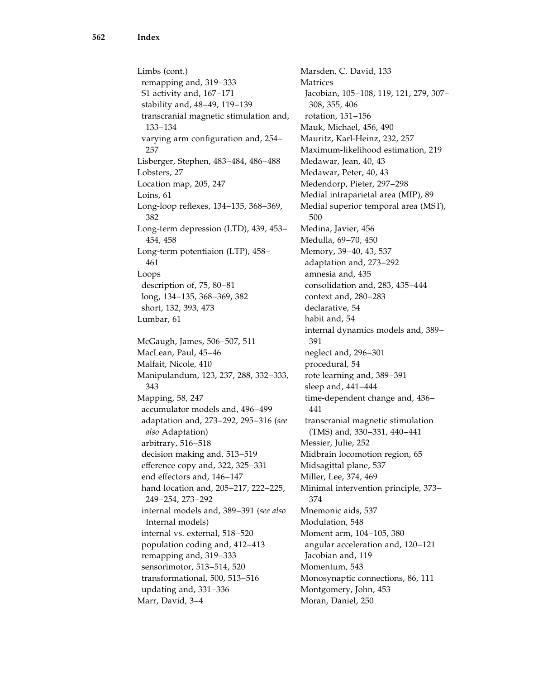Limbs (cont.) remapping and, 319–333 S1 activity and, 167–171 stability and, 48–49, 119–139 transcranial magnetic stimulation and, 133–134 varying arm configuration and, 254– 257 Lisberger, Stephen, 483–484, 486–488 Lobsters, 27 Location map, 205, 247 Loins, 61 Long-loop reflexes, 134–135, 368–369, 382 Long-term depression (LTD), 439, 453– 454, 458 Long-term potentiaion (LTP), 458– 461 Loops description of, 75, 80–81 long, 134–135, 368–369, 382 short, 132, 393, 473 Lumbar, 61 McGaugh, James, 506–507, 511 MacLean, Paul, 45–46 Malfait, Nicole, 410 Manipulandum, 123, 237, 288, 332–333, 343 Mapping, 58, 247 accumulator models and, 496–499 adaptation and, 273–292, 295–316 (see also Adaptation) arbitrary, 516–518 decision making and, 513–519 efference copy and, 322, 325–331 end effectors and, 146–147 hand location and, 205–217, 222–225, 249–254, 273–292 internal models and, 389–391 (see also Internal models) internal vs. external, 518–520 population coding and, 412–413 remapping and, 319–333 sensorimotor, 513–514, 520 transformational, 500, 513–516 updating and, 331–336 Marr, David, 3–4

Marsden, C. David, 133 Matrices Jacobian, 105–108, 119, 121, 279, 307– 308, 355, 406 rotation, 151–156 Mauk, Michael, 456, 490 Mauritz, Karl-Heinz, 232, 257 Maximum-likelihood estimation, 219 Medawar, Jean, 40, 43 Medawar, Peter, 40, 43 Medendorp, Pieter, 297–298 Medial intraparietal area (MIP), 89 Medial superior temporal area (MST), 500 Medina, Javier, 456 Medulla, 69–70, 450 Memory, 39–40, 43, 537 adaptation and, 273–292 amnesia and, 435 consolidation and, 283, 435–444 context and, 280–283 declarative, 54 habit and, 54 internal dynamics models and, 389– 391 neglect and, 296–301 procedural, 54 rote learning and, 389–391 sleep and, 441–444 time-dependent change and, 436– 441 transcranial magnetic stimulation (TMS) and, 330–331, 440–441 Messier, Julie, 252 Midbrain locomotion region, 65 Midsagittal plane, 537 Miller, Lee, 374, 469 Minimal intervention principle, 373– 374 Mnemonic aids, 537 Modulation, 548 Moment arm, 104–105, 380 angular acceleration and, 120–121 Jacobian and, 119 Momentum, 543 Monosynaptic connections, 86, 111 Montgomery, John, 453 Moran, Daniel, 250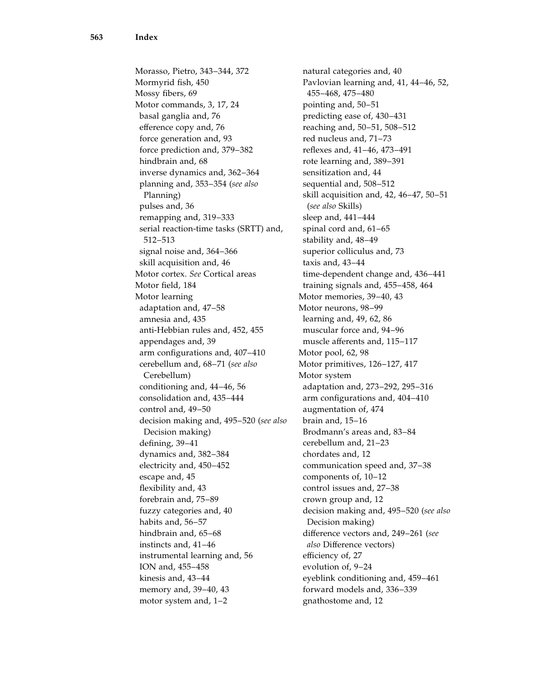Morasso, Pietro, 343–344, 372 Mormyrid fish, 450 Mossy fibers, 69 Motor commands, 3, 17, 24 basal ganglia and, 76 efference copy and, 76 force generation and, 93 force prediction and, 379–382 hindbrain and, 68 inverse dynamics and, 362–364 planning and, 353–354 (see also Planning) pulses and, 36 remapping and, 319–333 serial reaction-time tasks (SRTT) and, 512–513 signal noise and, 364–366 skill acquisition and, 46 Motor cortex. See Cortical areas Motor field, 184 Motor learning adaptation and, 47–58 amnesia and, 435 anti-Hebbian rules and, 452, 455 appendages and, 39 arm configurations and, 407–410 cerebellum and, 68–71 (see also Cerebellum) conditioning and, 44–46, 56 consolidation and, 435–444 control and, 49–50 decision making and, 495–520 (see also Decision making) defining, 39–41 dynamics and, 382–384 electricity and, 450–452 escape and, 45 flexibility and, 43 forebrain and, 75–89 fuzzy categories and, 40 habits and, 56–57 hindbrain and, 65–68 instincts and, 41–46 instrumental learning and, 56 ION and, 455–458 kinesis and, 43–44 memory and, 39–40, 43 motor system and, 1–2

natural categories and, 40 Pavlovian learning and, 41, 44–46, 52, 455–468, 475–480 pointing and, 50–51 predicting ease of, 430–431 reaching and, 50–51, 508–512 red nucleus and, 71–73 reflexes and, 41–46, 473–491 rote learning and, 389–391 sensitization and, 44 sequential and, 508–512 skill acquisition and, 42, 46–47, 50–51 (see also Skills) sleep and, 441–444 spinal cord and, 61–65 stability and, 48–49 superior colliculus and, 73 taxis and, 43–44 time-dependent change and, 436–441 training signals and, 455–458, 464 Motor memories, 39–40, 43 Motor neurons, 98–99 learning and, 49, 62, 86 muscular force and, 94–96 muscle afferents and, 115–117 Motor pool, 62, 98 Motor primitives, 126–127, 417 Motor system adaptation and, 273–292, 295–316 arm configurations and, 404–410 augmentation of, 474 brain and, 15–16 Brodmann's areas and, 83–84 cerebellum and, 21–23 chordates and, 12 communication speed and, 37–38 components of, 10–12 control issues and, 27–38 crown group and, 12 decision making and, 495–520 (see also Decision making) difference vectors and, 249–261 (see also Difference vectors) efficiency of, 27 evolution of, 9–24 eyeblink conditioning and, 459–461 forward models and, 336–339 gnathostome and, 12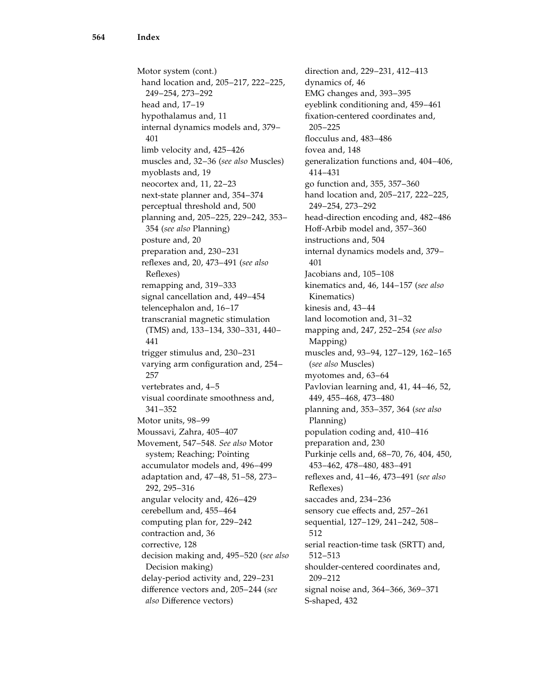Motor system (cont.) hand location and, 205–217, 222–225, 249–254, 273–292 head and, 17–19 hypothalamus and, 11 internal dynamics models and, 379– 401 limb velocity and, 425–426 muscles and, 32–36 (see also Muscles) myoblasts and, 19 neocortex and, 11, 22–23 next-state planner and, 354–374 perceptual threshold and, 500 planning and, 205–225, 229–242, 353– 354 (see also Planning) posture and, 20 preparation and, 230–231 reflexes and, 20, 473–491 (see also Reflexes) remapping and, 319–333 signal cancellation and, 449–454 telencephalon and, 16–17 transcranial magnetic stimulation (TMS) and, 133–134, 330–331, 440– 441 trigger stimulus and, 230–231 varying arm configuration and, 254– 257 vertebrates and, 4–5 visual coordinate smoothness and, 341–352 Motor units, 98–99 Moussavi, Zahra, 405–407 Movement, 547–548. See also Motor system; Reaching; Pointing accumulator models and, 496–499 adaptation and, 47–48, 51–58, 273– 292, 295–316 angular velocity and, 426–429 cerebellum and, 455–464 computing plan for, 229–242 contraction and, 36 corrective, 128 decision making and, 495–520 (see also Decision making) delay-period activity and, 229–231 difference vectors and, 205–244 (see also Difference vectors)

direction and, 229–231, 412–413 dynamics of, 46 EMG changes and, 393–395 eyeblink conditioning and, 459–461 fixation-centered coordinates and, 205–225 flocculus and, 483–486 fovea and, 148 generalization functions and, 404–406, 414–431 go function and, 355, 357–360 hand location and, 205–217, 222–225, 249–254, 273–292 head-direction encoding and, 482–486 Hoff-Arbib model and, 357–360 instructions and, 504 internal dynamics models and, 379– 401 Jacobians and, 105–108 kinematics and, 46, 144–157 (see also Kinematics) kinesis and, 43–44 land locomotion and, 31–32 mapping and, 247, 252–254 (see also Mapping) muscles and, 93–94, 127–129, 162–165 (see also Muscles) myotomes and, 63–64 Pavlovian learning and, 41, 44–46, 52, 449, 455–468, 473–480 planning and, 353–357, 364 (see also Planning) population coding and, 410–416 preparation and, 230 Purkinje cells and, 68–70, 76, 404, 450, 453–462, 478–480, 483–491 reflexes and, 41–46, 473–491 (see also Reflexes) saccades and, 234–236 sensory cue effects and, 257–261 sequential, 127–129, 241–242, 508– 512 serial reaction-time task (SRTT) and, 512–513 shoulder-centered coordinates and, 209–212 signal noise and, 364–366, 369–371 S-shaped, 432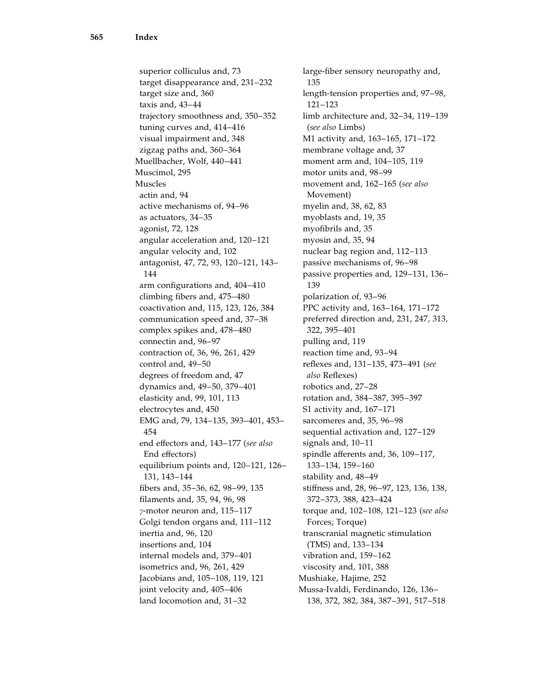superior colliculus and, 73 target disappearance and, 231–232 target size and, 360 taxis and, 43–44 trajectory smoothness and, 350–352 tuning curves and, 414–416 visual impairment and, 348 zigzag paths and, 360–364 Muellbacher, Wolf, 440–441 Muscimol, 295 Muscles actin and, 94 active mechanisms of, 94–96 as actuators, 34–35 agonist, 72, 128 angular acceleration and, 120–121 angular velocity and, 102 antagonist, 47, 72, 93, 120–121, 143– 144 arm configurations and, 404–410 climbing fibers and, 475–480 coactivation and, 115, 123, 126, 384 communication speed and, 37–38 complex spikes and, 478–480 connectin and, 96–97 contraction of, 36, 96, 261, 429 control and, 49–50 degrees of freedom and, 47 dynamics and, 49–50, 379–401 elasticity and, 99, 101, 113 electrocytes and, 450 EMG and, 79, 134–135, 393–401, 453– 454 end effectors and, 143–177 (see also End effectors) equilibrium points and, 120–121, 126– 131, 143–144 fibers and, 35–36, 62, 98–99, 135 filaments and, 35, 94, 96, 98  $\gamma$ -motor neuron and, 115–117 Golgi tendon organs and, 111–112 inertia and, 96, 120 insertions and, 104 internal models and, 379–401 isometrics and, 96, 261, 429 Jacobians and, 105–108, 119, 121 joint velocity and, 405–406 land locomotion and, 31–32

large-fiber sensory neuropathy and, 135 length-tension properties and, 97–98, 121–123 limb architecture and, 32–34, 119–139 (see also Limbs) M1 activity and, 163–165, 171–172 membrane voltage and, 37 moment arm and, 104–105, 119 motor units and, 98–99 movement and, 162–165 (see also Movement) myelin and, 38, 62, 83 myoblasts and, 19, 35 myofibrils and, 35 myosin and, 35, 94 nuclear bag region and, 112–113 passive mechanisms of, 96–98 passive properties and, 129–131, 136– 139 polarization of, 93–96 PPC activity and, 163–164, 171–172 preferred direction and, 231, 247, 313, 322, 395–401 pulling and, 119 reaction time and, 93–94 reflexes and, 131–135, 473–491 (see also Reflexes) robotics and, 27–28 rotation and, 384–387, 395–397 S1 activity and, 167–171 sarcomeres and, 35, 96–98 sequential activation and, 127–129 signals and, 10–11 spindle afferents and, 36, 109–117, 133–134, 159–160 stability and, 48–49 stiffness and, 28, 96–97, 123, 136, 138, 372–373, 388, 423–424 torque and, 102–108, 121–123 (see also Forces; Torque) transcranial magnetic stimulation (TMS) and, 133–134 vibration and, 159–162 viscosity and, 101, 388 Mushiake, Hajime, 252 Mussa-Ivaldi, Ferdinando, 126, 136– 138, 372, 382, 384, 387–391, 517–518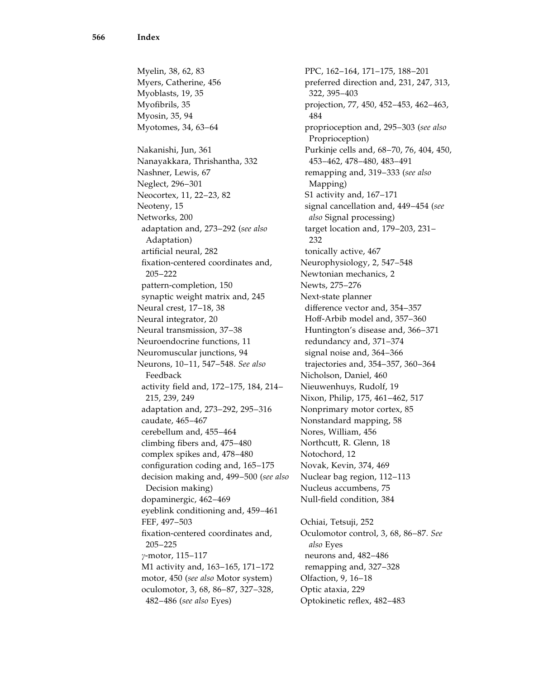Myelin, 38, 62, 83 Myers, Catherine, 456 Myoblasts, 19, 35 Myofibrils, 35 Myosin, 35, 94 Myotomes, 34, 63–64 Nakanishi, Jun, 361 Nanayakkara, Thrishantha, 332 Nashner, Lewis, 67 Neglect, 296–301 Neocortex, 11, 22–23, 82 Neoteny, 15 Networks, 200 adaptation and, 273–292 (see also Adaptation) artificial neural, 282 fixation-centered coordinates and, 205–222 pattern-completion, 150 synaptic weight matrix and, 245 Neural crest, 17–18, 38 Neural integrator, 20 Neural transmission, 37–38 Neuroendocrine functions, 11 Neuromuscular junctions, 94 Neurons, 10–11, 547–548. See also Feedback activity field and, 172–175, 184, 214– 215, 239, 249 adaptation and, 273–292, 295–316 caudate, 465–467 cerebellum and, 455–464 climbing fibers and, 475–480 complex spikes and, 478–480 configuration coding and, 165–175 decision making and, 499–500 (see also Decision making) dopaminergic, 462–469 eyeblink conditioning and, 459–461 FEF, 497–503 fixation-centered coordinates and, 205–225 g-motor, 115–117 M1 activity and, 163–165, 171–172 motor, 450 (see also Motor system) oculomotor, 3, 68, 86–87, 327–328, 482–486 (see also Eyes)

PPC, 162–164, 171–175, 188–201 preferred direction and, 231, 247, 313, 322, 395–403 projection, 77, 450, 452–453, 462–463, 484 proprioception and, 295–303 (see also Proprioception) Purkinje cells and, 68–70, 76, 404, 450, 453–462, 478–480, 483–491 remapping and, 319–333 (see also Mapping) S1 activity and, 167–171 signal cancellation and, 449–454 (see also Signal processing) target location and, 179–203, 231– 232 tonically active, 467 Neurophysiology, 2, 547–548 Newtonian mechanics, 2 Newts, 275–276 Next-state planner difference vector and, 354–357 Hoff-Arbib model and, 357–360 Huntington's disease and, 366–371 redundancy and, 371–374 signal noise and, 364–366 trajectories and, 354–357, 360–364 Nicholson, Daniel, 460 Nieuwenhuys, Rudolf, 19 Nixon, Philip, 175, 461–462, 517 Nonprimary motor cortex, 85 Nonstandard mapping, 58 Nores, William, 456 Northcutt, R. Glenn, 18 Notochord, 12 Novak, Kevin, 374, 469 Nuclear bag region, 112–113 Nucleus accumbens, 75 Null-field condition, 384 Ochiai, Tetsuji, 252 Oculomotor control, 3, 68, 86–87. See also Eyes neurons and, 482–486 remapping and, 327–328 Olfaction, 9, 16–18

Optic ataxia, 229 Optokinetic reflex, 482–483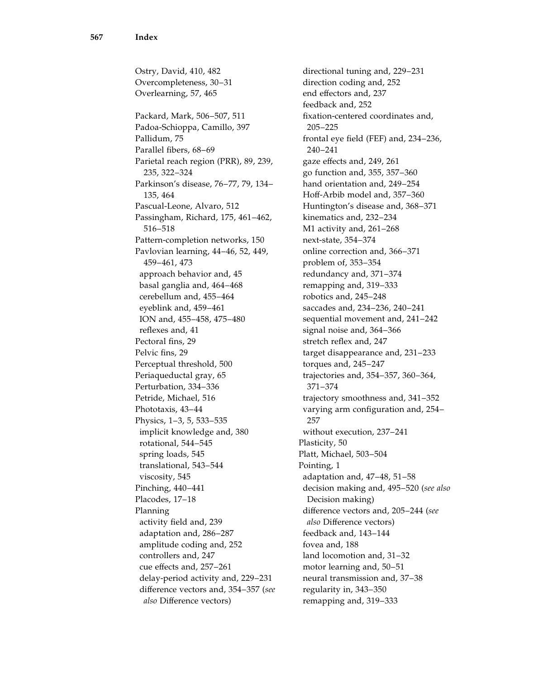Ostry, David, 410, 482 Overcompleteness, 30–31 Overlearning, 57, 465 Packard, Mark, 506–507, 511 Padoa-Schioppa, Camillo, 397 Pallidum, 75 Parallel fibers, 68–69 Parietal reach region (PRR), 89, 239, 235, 322–324 Parkinson's disease, 76–77, 79, 134– 135, 464 Pascual-Leone, Alvaro, 512 Passingham, Richard, 175, 461–462, 516–518 Pattern-completion networks, 150 Pavlovian learning, 44–46, 52, 449, 459–461, 473 approach behavior and, 45 basal ganglia and, 464–468 cerebellum and, 455–464 eyeblink and, 459–461 ION and, 455–458, 475–480 reflexes and, 41 Pectoral fins, 29 Pelvic fins, 29 Perceptual threshold, 500 Periaqueductal gray, 65 Perturbation, 334–336 Petride, Michael, 516 Phototaxis, 43–44 Physics, 1–3, 5, 533–535 implicit knowledge and, 380 rotational, 544–545 spring loads, 545 translational, 543–544 viscosity, 545 Pinching, 440–441 Placodes, 17–18 Planning activity field and, 239 adaptation and, 286–287 amplitude coding and, 252 controllers and, 247 cue effects and, 257–261 delay-period activity and, 229–231 difference vectors and, 354–357 (see also Difference vectors)

directional tuning and, 229–231 direction coding and, 252 end effectors and, 237 feedback and, 252 fixation-centered coordinates and, 205–225 frontal eye field (FEF) and, 234–236, 240–241 gaze effects and, 249, 261 go function and, 355, 357–360 hand orientation and, 249–254 Hoff-Arbib model and, 357–360 Huntington's disease and, 368–371 kinematics and, 232–234 M1 activity and, 261–268 next-state, 354–374 online correction and, 366–371 problem of, 353–354 redundancy and, 371–374 remapping and, 319–333 robotics and, 245–248 saccades and, 234–236, 240–241 sequential movement and, 241–242 signal noise and, 364–366 stretch reflex and, 247 target disappearance and, 231–233 torques and, 245–247 trajectories and, 354–357, 360–364, 371–374 trajectory smoothness and, 341–352 varying arm configuration and, 254– 257 without execution, 237–241 Plasticity, 50 Platt, Michael, 503–504 Pointing, 1 adaptation and, 47–48, 51–58 decision making and, 495–520 (see also Decision making) difference vectors and, 205–244 (see also Difference vectors) feedback and, 143–144 fovea and, 188 land locomotion and, 31–32 motor learning and, 50–51 neural transmission and, 37–38 regularity in, 343–350 remapping and, 319–333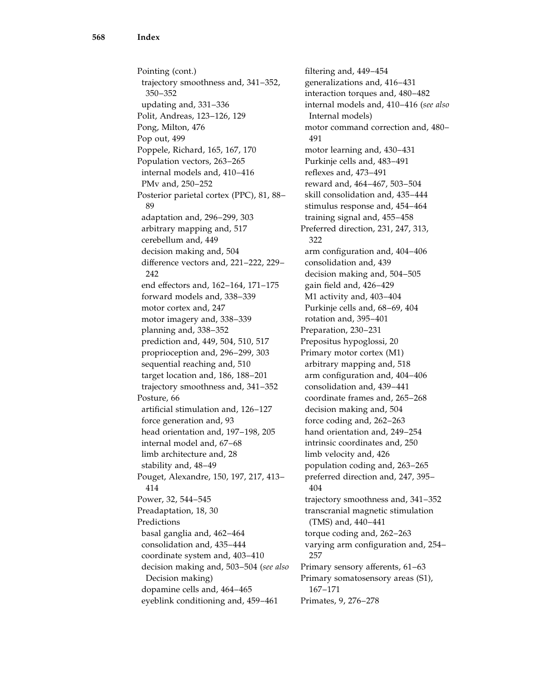Pointing (cont.) trajectory smoothness and, 341–352, 350–352 updating and, 331–336 Polit, Andreas, 123–126, 129 Pong, Milton, 476 Pop out, 499 Poppele, Richard, 165, 167, 170 Population vectors, 263–265 internal models and, 410–416 PMv and, 250–252 Posterior parietal cortex (PPC), 81, 88– 89 adaptation and, 296–299, 303 arbitrary mapping and, 517 cerebellum and, 449 decision making and, 504 difference vectors and, 221–222, 229– 242 end effectors and, 162–164, 171–175 forward models and, 338–339 motor cortex and, 247 motor imagery and, 338–339 planning and, 338–352 prediction and, 449, 504, 510, 517 proprioception and, 296–299, 303 sequential reaching and, 510 target location and, 186, 188–201 trajectory smoothness and, 341–352 Posture, 66 artificial stimulation and, 126–127 force generation and, 93 head orientation and, 197–198, 205 internal model and, 67–68 limb architecture and, 28 stability and, 48–49 Pouget, Alexandre, 150, 197, 217, 413– 414 Power, 32, 544–545 Preadaptation, 18, 30 Predictions basal ganglia and, 462–464 consolidation and, 435–444 coordinate system and, 403–410 decision making and, 503–504 (see also Decision making) dopamine cells and, 464–465 eyeblink conditioning and, 459–461

filtering and, 449–454 generalizations and, 416–431 interaction torques and, 480–482 internal models and, 410–416 (see also Internal models) motor command correction and, 480– 491 motor learning and, 430–431 Purkinje cells and, 483–491 reflexes and, 473–491 reward and, 464–467, 503–504 skill consolidation and, 435–444 stimulus response and, 454–464 training signal and, 455–458 Preferred direction, 231, 247, 313, 322 arm configuration and, 404–406 consolidation and, 439 decision making and, 504–505 gain field and, 426–429 M1 activity and, 403–404 Purkinje cells and, 68–69, 404 rotation and, 395–401 Preparation, 230–231 Prepositus hypoglossi, 20 Primary motor cortex (M1) arbitrary mapping and, 518 arm configuration and, 404–406 consolidation and, 439–441 coordinate frames and, 265–268 decision making and, 504 force coding and, 262–263 hand orientation and, 249–254 intrinsic coordinates and, 250 limb velocity and, 426 population coding and, 263–265 preferred direction and, 247, 395– 404 trajectory smoothness and, 341–352 transcranial magnetic stimulation (TMS) and, 440–441 torque coding and, 262–263 varying arm configuration and, 254– 257 Primary sensory afferents, 61–63 Primary somatosensory areas (S1), 167–171 Primates, 9, 276–278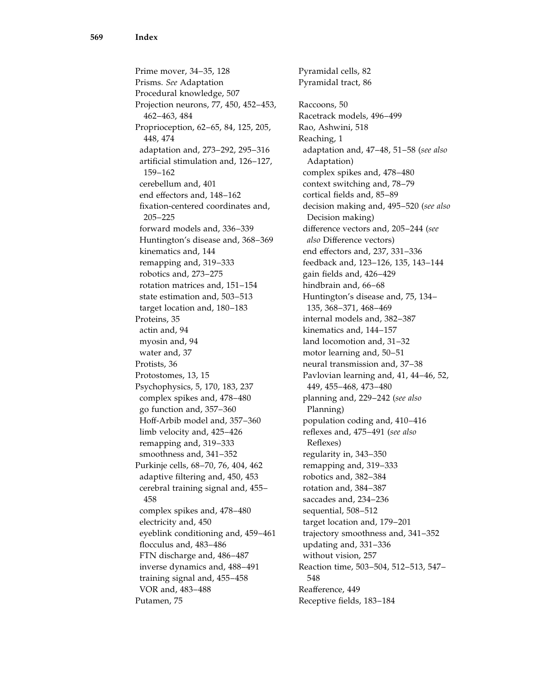Prime mover, 34–35, 128 Prisms. See Adaptation Procedural knowledge, 507 Projection neurons, 77, 450, 452–453, 462–463, 484 Proprioception, 62–65, 84, 125, 205, 448, 474 adaptation and, 273–292, 295–316 artificial stimulation and, 126–127, 159–162 cerebellum and, 401 end effectors and, 148–162 fixation-centered coordinates and, 205–225 forward models and, 336–339 Huntington's disease and, 368–369 kinematics and, 144 remapping and, 319–333 robotics and, 273–275 rotation matrices and, 151–154 state estimation and, 503–513 target location and, 180–183 Proteins, 35 actin and, 94 myosin and, 94 water and, 37 Protists, 36 Protostomes, 13, 15 Psychophysics, 5, 170, 183, 237 complex spikes and, 478–480 go function and, 357–360 Hoff-Arbib model and, 357–360 limb velocity and, 425–426 remapping and, 319–333 smoothness and, 341–352 Purkinje cells, 68–70, 76, 404, 462 adaptive filtering and, 450, 453 cerebral training signal and, 455– 458 complex spikes and, 478–480 electricity and, 450 eyeblink conditioning and, 459–461 flocculus and, 483–486 FTN discharge and, 486–487 inverse dynamics and, 488–491 training signal and, 455–458 VOR and, 483–488 Putamen, 75

Pyramidal cells, 82 Pyramidal tract, 86 Raccoons, 50 Racetrack models, 496–499 Rao, Ashwini, 518 Reaching, 1 adaptation and, 47–48, 51–58 (see also Adaptation) complex spikes and, 478–480 context switching and, 78–79 cortical fields and, 85–89 decision making and, 495–520 (see also Decision making) difference vectors and, 205–244 (see also Difference vectors) end effectors and, 237, 331–336 feedback and, 123–126, 135, 143–144 gain fields and, 426–429 hindbrain and, 66–68 Huntington's disease and, 75, 134– 135, 368–371, 468–469 internal models and, 382–387 kinematics and, 144–157 land locomotion and, 31–32 motor learning and, 50–51 neural transmission and, 37–38 Pavlovian learning and, 41, 44–46, 52, 449, 455–468, 473–480 planning and, 229–242 (see also Planning) population coding and, 410–416 reflexes and, 475–491 (see also Reflexes) regularity in, 343–350 remapping and, 319–333 robotics and, 382–384 rotation and, 384–387 saccades and, 234–236 sequential, 508–512 target location and, 179–201 trajectory smoothness and, 341–352 updating and, 331–336 without vision, 257 Reaction time, 503–504, 512–513, 547– 548 Reafference, 449 Receptive fields, 183–184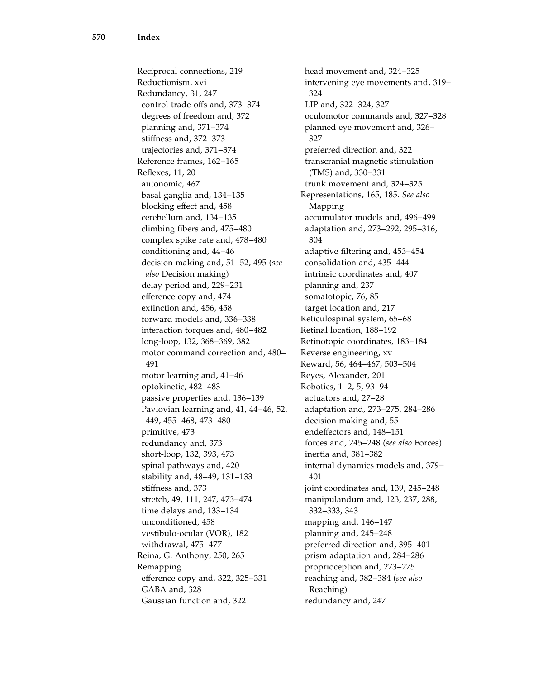Reciprocal connections, 219 Reductionism, xvi Redundancy, 31, 247 control trade-offs and, 373–374 degrees of freedom and, 372 planning and, 371–374 stiffness and, 372–373 trajectories and, 371–374 Reference frames, 162–165 Reflexes, 11, 20 autonomic, 467 basal ganglia and, 134–135 blocking effect and, 458 cerebellum and, 134–135 climbing fibers and, 475–480 complex spike rate and, 478–480 conditioning and, 44–46 decision making and, 51–52, 495 (see also Decision making) delay period and, 229–231 efference copy and, 474 extinction and, 456, 458 forward models and, 336–338 interaction torques and, 480–482 long-loop, 132, 368–369, 382 motor command correction and, 480– 491 motor learning and, 41–46 optokinetic, 482–483 passive properties and, 136–139 Pavlovian learning and, 41, 44–46, 52, 449, 455–468, 473–480 primitive, 473 redundancy and, 373 short-loop, 132, 393, 473 spinal pathways and, 420 stability and, 48–49, 131–133 stiffness and, 373 stretch, 49, 111, 247, 473–474 time delays and, 133–134 unconditioned, 458 vestibulo-ocular (VOR), 182 withdrawal, 475–477 Reina, G. Anthony, 250, 265 Remapping efference copy and, 322, 325–331 GABA and, 328 Gaussian function and, 322

head movement and, 324–325 intervening eye movements and, 319– 324 LIP and, 322–324, 327 oculomotor commands and, 327–328 planned eye movement and, 326– 327 preferred direction and, 322 transcranial magnetic stimulation (TMS) and, 330–331 trunk movement and, 324–325 Representations, 165, 185. See also Mapping accumulator models and, 496–499 adaptation and, 273–292, 295–316, 304 adaptive filtering and, 453–454 consolidation and, 435–444 intrinsic coordinates and, 407 planning and, 237 somatotopic, 76, 85 target location and, 217 Reticulospinal system, 65–68 Retinal location, 188–192 Retinotopic coordinates, 183–184 Reverse engineering, xv Reward, 56, 464–467, 503–504 Reyes, Alexander, 201 Robotics, 1–2, 5, 93–94 actuators and, 27–28 adaptation and, 273–275, 284–286 decision making and, 55 endeffectors and, 148–151 forces and, 245–248 (see also Forces) inertia and, 381–382 internal dynamics models and, 379– 401 joint coordinates and, 139, 245–248 manipulandum and, 123, 237, 288, 332–333, 343 mapping and, 146–147 planning and, 245–248 preferred direction and, 395–401 prism adaptation and, 284–286 proprioception and, 273–275 reaching and, 382–384 (see also Reaching) redundancy and, 247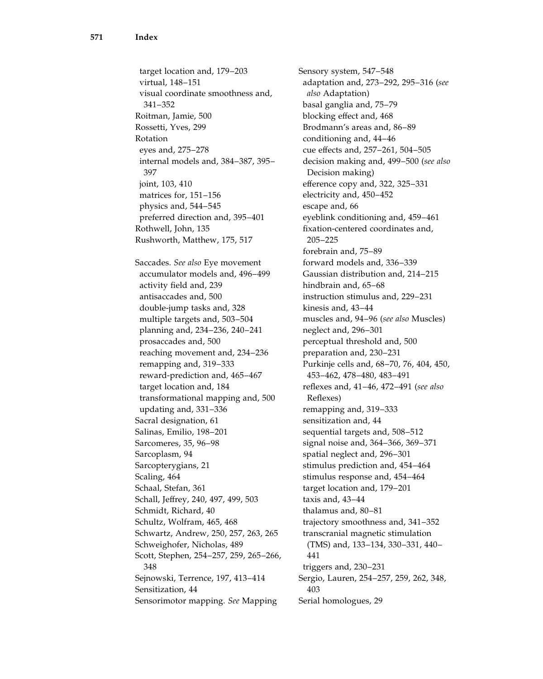target location and, 179–203 virtual, 148–151 visual coordinate smoothness and, 341–352 Roitman, Jamie, 500 Rossetti, Yves, 299 Rotation eyes and, 275–278 internal models and, 384–387, 395– 397 joint, 103, 410 matrices for, 151–156 physics and, 544–545 preferred direction and, 395–401 Rothwell, John, 135 Rushworth, Matthew, 175, 517 Saccades. See also Eye movement accumulator models and, 496–499 activity field and, 239 antisaccades and, 500 double-jump tasks and, 328 multiple targets and, 503–504 planning and, 234–236, 240–241 prosaccades and, 500 reaching movement and, 234–236 remapping and, 319–333 reward-prediction and, 465–467 target location and, 184 transformational mapping and, 500 updating and, 331–336 Sacral designation, 61 Salinas, Emilio, 198–201 Sarcomeres, 35, 96–98 Sarcoplasm, 94 Sarcopterygians, 21 Scaling, 464 Schaal, Stefan, 361 Schall, Jeffrey, 240, 497, 499, 503 Schmidt, Richard, 40 Schultz, Wolfram, 465, 468 Schwartz, Andrew, 250, 257, 263, 265 Schweighofer, Nicholas, 489 Scott, Stephen, 254–257, 259, 265–266, 348 Sejnowski, Terrence, 197, 413–414 Sensitization, 44 Sensorimotor mapping. See Mapping

Sensory system, 547–548 adaptation and, 273–292, 295–316 (see also Adaptation) basal ganglia and, 75–79 blocking effect and, 468 Brodmann's areas and, 86–89 conditioning and, 44–46 cue effects and, 257–261, 504–505 decision making and, 499–500 (see also Decision making) efference copy and, 322, 325–331 electricity and, 450–452 escape and, 66 eyeblink conditioning and, 459–461 fixation-centered coordinates and, 205–225 forebrain and, 75–89 forward models and, 336–339 Gaussian distribution and, 214–215 hindbrain and, 65–68 instruction stimulus and, 229–231 kinesis and, 43–44 muscles and, 94–96 (see also Muscles) neglect and, 296–301 perceptual threshold and, 500 preparation and, 230–231 Purkinje cells and, 68–70, 76, 404, 450, 453–462, 478–480, 483–491 reflexes and, 41–46, 472–491 (see also Reflexes) remapping and, 319–333 sensitization and, 44 sequential targets and, 508–512 signal noise and, 364–366, 369–371 spatial neglect and, 296–301 stimulus prediction and, 454–464 stimulus response and, 454–464 target location and, 179–201 taxis and, 43–44 thalamus and, 80–81 trajectory smoothness and, 341–352 transcranial magnetic stimulation (TMS) and, 133–134, 330–331, 440– 441 triggers and, 230–231 Sergio, Lauren, 254–257, 259, 262, 348, 403 Serial homologues, 29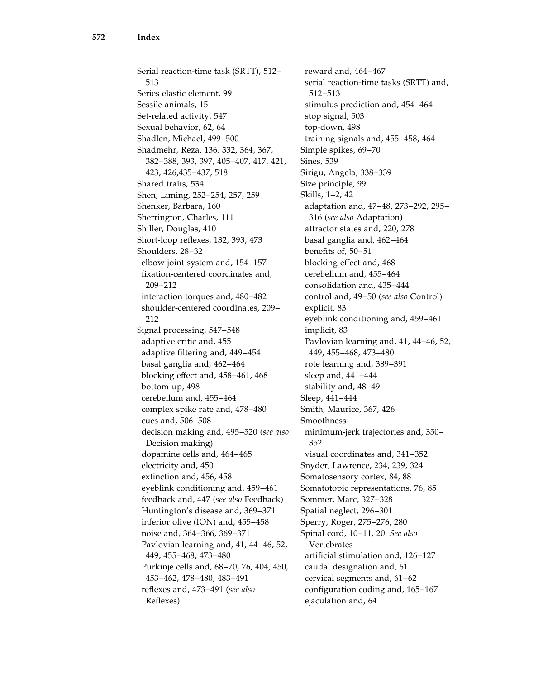Serial reaction-time task (SRTT), 512– 513 Series elastic element, 99 Sessile animals, 15 Set-related activity, 547 Sexual behavior, 62, 64 Shadlen, Michael, 499–500 Shadmehr, Reza, 136, 332, 364, 367, 382–388, 393, 397, 405–407, 417, 421, 423, 426,435–437, 518 Shared traits, 534 Shen, Liming, 252–254, 257, 259 Shenker, Barbara, 160 Sherrington, Charles, 111 Shiller, Douglas, 410 Short-loop reflexes, 132, 393, 473 Shoulders, 28–32 elbow joint system and, 154–157 fixation-centered coordinates and, 209–212 interaction torques and, 480–482 shoulder-centered coordinates, 209– 212 Signal processing, 547–548 adaptive critic and, 455 adaptive filtering and, 449–454 basal ganglia and, 462–464 blocking effect and, 458–461, 468 bottom-up, 498 cerebellum and, 455–464 complex spike rate and, 478–480 cues and, 506–508 decision making and, 495–520 (see also Decision making) dopamine cells and, 464–465 electricity and, 450 extinction and, 456, 458 eyeblink conditioning and, 459–461 feedback and, 447 (see also Feedback) Huntington's disease and, 369–371 inferior olive (ION) and, 455–458 noise and, 364–366, 369–371 Pavlovian learning and, 41, 44–46, 52, 449, 455–468, 473–480 Purkinje cells and, 68–70, 76, 404, 450, 453–462, 478–480, 483–491 reflexes and, 473–491 (see also Reflexes)

reward and, 464–467 serial reaction-time tasks (SRTT) and, 512–513 stimulus prediction and, 454–464 stop signal, 503 top-down, 498 training signals and, 455–458, 464 Simple spikes, 69–70 Sines, 539 Sirigu, Angela, 338–339 Size principle, 99 Skills, 1–2, 42 adaptation and, 47–48, 273–292, 295– 316 (see also Adaptation) attractor states and, 220, 278 basal ganglia and, 462–464 benefits of, 50–51 blocking effect and, 468 cerebellum and, 455–464 consolidation and, 435–444 control and, 49–50 (see also Control) explicit, 83 eyeblink conditioning and, 459–461 implicit, 83 Pavlovian learning and, 41, 44–46, 52, 449, 455–468, 473–480 rote learning and, 389–391 sleep and, 441–444 stability and, 48–49 Sleep, 441–444 Smith, Maurice, 367, 426 Smoothness minimum-jerk trajectories and, 350– 352 visual coordinates and, 341–352 Snyder, Lawrence, 234, 239, 324 Somatosensory cortex, 84, 88 Somatotopic representations, 76, 85 Sommer, Marc, 327–328 Spatial neglect, 296–301 Sperry, Roger, 275–276, 280 Spinal cord, 10–11, 20. See also Vertebrates artificial stimulation and, 126–127 caudal designation and, 61 cervical segments and, 61–62 configuration coding and, 165–167 ejaculation and, 64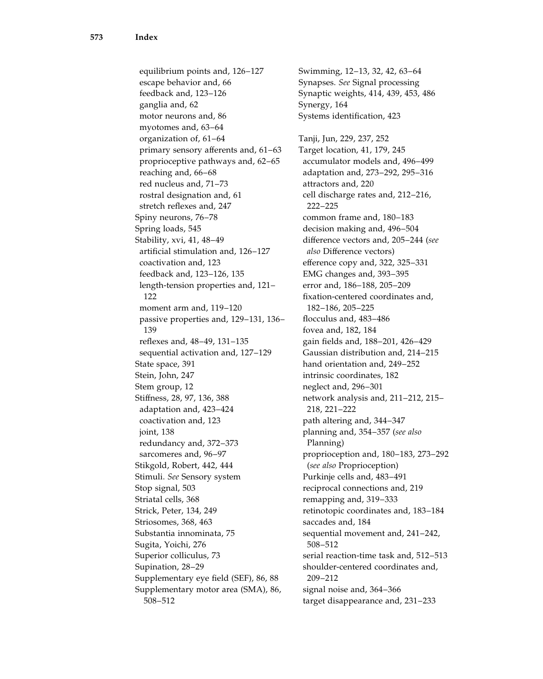equilibrium points and, 126–127 escape behavior and, 66 feedback and, 123–126 ganglia and, 62 motor neurons and, 86 myotomes and, 63–64 organization of, 61–64 primary sensory afferents and, 61–63 proprioceptive pathways and, 62–65 reaching and, 66–68 red nucleus and, 71–73 rostral designation and, 61 stretch reflexes and, 247 Spiny neurons, 76–78 Spring loads, 545 Stability, xvi, 41, 48–49 artificial stimulation and, 126–127 coactivation and, 123 feedback and, 123–126, 135 length-tension properties and, 121– 122 moment arm and, 119–120 passive properties and, 129–131, 136– 139 reflexes and, 48–49, 131–135 sequential activation and, 127–129 State space, 391 Stein, John, 247 Stem group, 12 Stiffness, 28, 97, 136, 388 adaptation and, 423–424 coactivation and, 123 joint, 138 redundancy and, 372–373 sarcomeres and, 96–97 Stikgold, Robert, 442, 444 Stimuli. See Sensory system Stop signal, 503 Striatal cells, 368 Strick, Peter, 134, 249 Striosomes, 368, 463 Substantia innominata, 75 Sugita, Yoichi, 276 Superior colliculus, 73 Supination, 28–29 Supplementary eye field (SEF), 86, 88 Supplementary motor area (SMA), 86, 508–512

Swimming, 12–13, 32, 42, 63–64 Synapses. See Signal processing Synaptic weights, 414, 439, 453, 486 Synergy, 164 Systems identification, 423 Tanji, Jun, 229, 237, 252 Target location, 41, 179, 245 accumulator models and, 496–499 adaptation and, 273–292, 295–316 attractors and, 220 cell discharge rates and, 212–216, 222–225 common frame and, 180–183 decision making and, 496–504 difference vectors and, 205–244 (see also Difference vectors) efference copy and, 322, 325–331 EMG changes and, 393–395 error and, 186–188, 205–209 fixation-centered coordinates and, 182–186, 205–225 flocculus and, 483–486 fovea and, 182, 184 gain fields and, 188–201, 426–429 Gaussian distribution and, 214–215 hand orientation and, 249–252 intrinsic coordinates, 182 neglect and, 296–301 network analysis and, 211–212, 215– 218, 221–222 path altering and, 344–347 planning and, 354–357 (see also Planning) proprioception and, 180–183, 273–292 (see also Proprioception) Purkinje cells and, 483–491 reciprocal connections and, 219 remapping and, 319–333 retinotopic coordinates and, 183–184 saccades and, 184 sequential movement and, 241–242, 508–512 serial reaction-time task and, 512–513 shoulder-centered coordinates and, 209–212 signal noise and, 364–366 target disappearance and, 231–233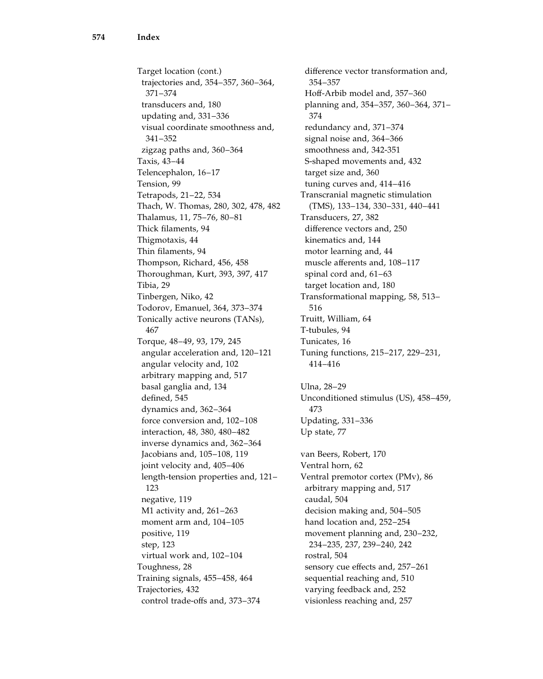Target location (cont.) trajectories and, 354–357, 360–364, 371–374 transducers and, 180 updating and, 331–336 visual coordinate smoothness and, 341–352 zigzag paths and, 360–364 Taxis, 43–44 Telencephalon, 16–17 Tension, 99 Tetrapods, 21–22, 534 Thach, W. Thomas, 280, 302, 478, 482 Thalamus, 11, 75–76, 80–81 Thick filaments, 94 Thigmotaxis, 44 Thin filaments, 94 Thompson, Richard, 456, 458 Thoroughman, Kurt, 393, 397, 417 Tibia, 29 Tinbergen, Niko, 42 Todorov, Emanuel, 364, 373–374 Tonically active neurons (TANs), 467 Torque, 48–49, 93, 179, 245 angular acceleration and, 120–121 angular velocity and, 102 arbitrary mapping and, 517 basal ganglia and, 134 defined, 545 dynamics and, 362–364 force conversion and, 102–108 interaction, 48, 380, 480–482 inverse dynamics and, 362–364 Jacobians and, 105–108, 119 joint velocity and, 405–406 length-tension properties and, 121– 123 negative, 119 M1 activity and, 261–263 moment arm and, 104–105 positive, 119 step, 123 virtual work and, 102–104 Toughness, 28 Training signals, 455–458, 464 Trajectories, 432 control trade-offs and, 373–374

difference vector transformation and, 354–357 Hoff-Arbib model and, 357–360 planning and, 354–357, 360–364, 371– 374 redundancy and, 371–374 signal noise and, 364–366 smoothness and, 342-351 S-shaped movements and, 432 target size and, 360 tuning curves and, 414–416 Transcranial magnetic stimulation (TMS), 133–134, 330–331, 440–441 Transducers, 27, 382 difference vectors and, 250 kinematics and, 144 motor learning and, 44 muscle afferents and, 108–117 spinal cord and, 61–63 target location and, 180 Transformational mapping, 58, 513– 516 Truitt, William, 64 T-tubules, 94 Tunicates, 16 Tuning functions, 215–217, 229–231, 414–416 Ulna, 28–29 Unconditioned stimulus (US), 458–459, 473 Updating, 331–336 Up state, 77 van Beers, Robert, 170 Ventral horn, 62 Ventral premotor cortex (PMv), 86 arbitrary mapping and, 517 caudal, 504 decision making and, 504–505 hand location and, 252–254 movement planning and, 230–232, 234–235, 237, 239–240, 242 rostral, 504 sensory cue effects and, 257–261 sequential reaching and, 510 varying feedback and, 252 visionless reaching and, 257